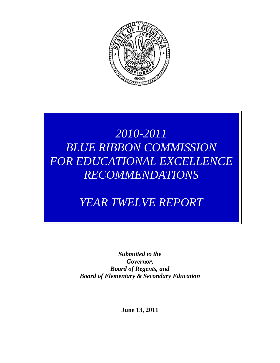

# *2010-2011 BLUE RIBBON COMMISSION FOR EDUCATIONAL EXCELLENCE RECOMMENDATIONS*

# *YEAR TWELVE REPORT*

*Submitted to the Governor, Board of Regents, and Board of Elementary & Secondary Education*

**June 13, 2011**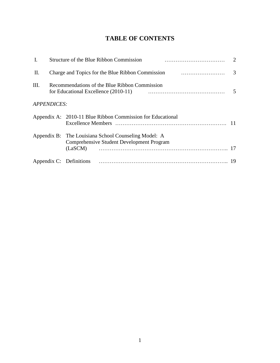## **TABLE OF CONTENTS**

| I. |                                                                               | Structure of the Blue Ribbon Commission                                                                  |  |
|----|-------------------------------------------------------------------------------|----------------------------------------------------------------------------------------------------------|--|
| П. | Charge and Topics for the Blue Ribbon Commission <i>manufacture container</i> |                                                                                                          |  |
| Ш. | Recommendations of the Blue Ribbon Commission<br>$5\phantom{0}$               |                                                                                                          |  |
|    | <b>APPENDICES:</b>                                                            |                                                                                                          |  |
|    |                                                                               | Appendix A: 2010-11 Blue Ribbon Commission for Educational                                               |  |
|    |                                                                               | Appendix B: The Louisiana School Counseling Model: A<br><b>Comprehensive Student Development Program</b> |  |
|    |                                                                               |                                                                                                          |  |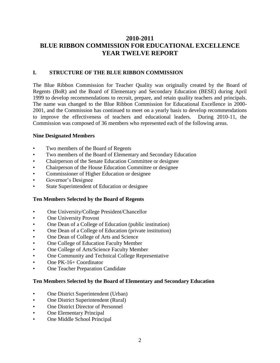## **2010-2011 BLUE RIBBON COMMISSION FOR EDUCATIONAL EXCELLENCE YEAR TWELVE REPORT**

## **I. STRUCTURE OF THE BLUE RIBBON COMMISSION**

The Blue Ribbon Commission for Teacher Quality was originally created by the Board of Regents (BoR) and the Board of Elementary and Secondary Education (BESE) during April 1999 to develop recommendations to recruit, prepare, and retain quality teachers and principals. The name was changed to the Blue Ribbon Commission for Educational Excellence in 2000- 2001, and the Commission has continued to meet on a yearly basis to develop recommendations to improve the effectiveness of teachers and educational leaders. During 2010-11, the Commission was composed of 36 members who represented each of the following areas.

## **Nine Designated Members**

- Two members of the Board of Regents
- Two members of the Board of Elementary and Secondary Education
- Chairperson of the Senate Education Committee or designee
- Chairperson of the House Education Committee or designee
- Commissioner of Higher Education or designee
- Governor's Designee
- State Superintendent of Education or designee

### **Ten Members Selected by the Board of Regents**

- One University/College President/Chancellor
- **One University Provost**
- One Dean of a College of Education (public institution)
- One Dean of a College of Education (private institution)
- One Dean of College of Arts and Science
- One College of Education Faculty Member
- One College of Arts/Science Faculty Member
- One Community and Technical College Representative
- One PK-16+ Coordinator
- One Teacher Preparation Candidate

### **Ten Members Selected by the Board of Elementary and Secondary Education**

- One District Superintendent (Urban)
- One District Superintendent (Rural)
- One District Director of Personnel
- One Elementary Principal
- One Middle School Principal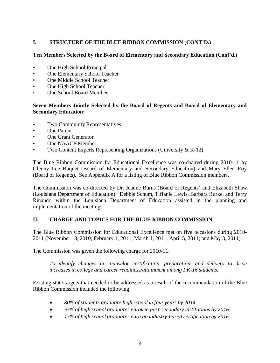## **I. STRUCTURE OF THE BLUE RIBBON COMMISSION (CONT'D.)**

## **Ten Members Selected by the Board of Elementary and Secondary Education (Cont'd.)**

- One High School Principal
- One Elementary School Teacher
- One Middle School Teacher
- One High School Teacher
- One School Board Member

## **Seven Members Jointly Selected by the Board of Regents and Board of Elementary and Secondary Education:**

- Two Community Representatives
- One Parent
- One Grant Generator
- One NAACP Member
- Two Content Experts Representing Organizations (University & K-12)

The Blue Ribbon Commission for Educational Excellence was co-chaired during 2010-11 by Glenny Lee Buquet (Board of Elementary and Secondary Education) and Mary Ellen Roy (Board of Regents). See Appendix A for a listing of Blue Ribbon Commission members.

The Commission was co-directed by Dr. Jeanne Burns (Board of Regents) and Elizabeth Shaw (Louisiana Department of Education). Debbie Schum, Tiffanie Lewis, Barbara Burke, and Terry Rinaudo within the Louisiana Department of Education assisted in the planning and implementation of the meetings.

## **II. CHARGE AND TOPICS FOR THE BLUE RIBBON COMMISSION**

The Blue Ribbon Commission for Educational Excellence met on five occasions during 2010- 2011 (November 18, 2010; February 1, 2011; March 1, 2011; April 5, 2011; and May 3, 2011).

The Commission was given the following charge for 2010-11:

*To identify changes in counselor certification, preparation, and delivery to drive increases in college and career readiness/attainment among PK-16 students.*

Existing state targets that needed to be addressed as a result of the recommendation of the Blue Ribbon Commission included the following:

- *80% of students graduate high school in four years by 2014*
- *55% of high school graduates enroll in post-secondary institutions by 2016*
- *15% of high school graduates earn an industry-based certification by 2016*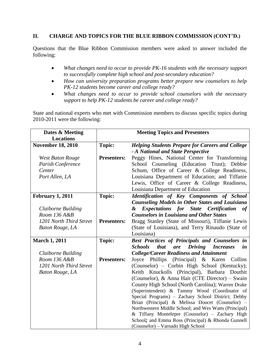## **II. CHARGE AND TOPICS FOR THE BLUE RIBBON COMMISSION (CONT'D.)**

Questions that the Blue Ribbon Commission members were asked to answer included the following:

- *What changes need to occur to provide PK-16 students with the necessary support to successfully complete high school and post-secondary education?*
- *How can university preparation programs better prepare new counselors to help PK-12 students become career and college ready?*
- *What changes need to occur to provide school counselors with the necessary support to help PK-12 students be career and college ready?*

State and national experts who met with Commission members to discuss specific topics during 2010-2011 were the following:

| Dates & Meeting          | <b>Meeting Topics and Presenters</b> |                                                                                                        |
|--------------------------|--------------------------------------|--------------------------------------------------------------------------------------------------------|
| <b>Locations</b>         |                                      |                                                                                                        |
| <b>November 18, 2010</b> | <b>Topic:</b>                        | <b>Helping Students Prepare for Careers and College</b>                                                |
|                          |                                      | - A National and State Perspective                                                                     |
| <b>West Baton Rouge</b>  | <b>Presenters:</b>                   | Peggy Hines, National Center for Transforming                                                          |
| Parish Conference        |                                      | School Counseling (Education Trust); Debbie                                                            |
| Center                   |                                      | Schum, Office of Career & College Readiness,                                                           |
| Port Allen, LA           |                                      | Louisiana Department of Education; and Tiffanie                                                        |
|                          |                                      | Lewis, Office of Career & College Readiness,                                                           |
|                          |                                      | Louisiana Department of Education                                                                      |
| February 1, 2011         | <b>Topic:</b>                        | Identification of Key Components of School                                                             |
|                          |                                      | <b>Counseling Models in Other States and Louisiana</b>                                                 |
| Claiborne Building       |                                      | <b>Expectations for State Certification</b><br>&<br><b>of</b>                                          |
| Room 136 A&B             |                                      | <b>Counselors in Louisiana and Other States</b>                                                        |
| 1201 North Third Street  | <b>Presenters:</b>                   | Bragg Stanley (State of Missouri), Tiffanie Lewis                                                      |
| <b>Baton Rouge, LA</b>   |                                      | (State of Louisiana), and Terry Rinaudo (State of                                                      |
|                          |                                      | Louisiana)                                                                                             |
| <b>March 1, 2011</b>     | <b>Topic:</b>                        | Best Practices of Principals and Counselors in                                                         |
|                          |                                      | <b>Driving</b><br><b>Schools</b><br>that<br>are<br><i>Increases</i><br>in                              |
| Claiborne Building       |                                      | <b>College/Career Readiness and Attainment</b>                                                         |
| Room 136 A&B             | <b>Presenters:</b>                   | Joyce Phillips (Principal) & Karen<br>Collins                                                          |
| 1201 North Third Street  |                                      | (Counselor) – Corbin High School (Kentucky);                                                           |
| <b>Baton Rouge, LA</b>   |                                      | Keith Knuckolls (Principal), Barbara Douthit                                                           |
|                          |                                      | (Counselor), & Anna Hair (CTE Director) – Swain                                                        |
|                          |                                      | County High School (North Carolina); Warren Drake                                                      |
|                          |                                      | (Superintendent) & Tammy Wood (Coordinator of                                                          |
|                          |                                      | Special Programs) - Zachary School District; Debby<br>Brian (Principal) & Melissa Doucet (Counselor) - |
|                          |                                      | Northwestern Middle School; and Wes Watts (Principal)                                                  |
|                          |                                      | & Tiffany Montelepre (Counselor) - Zachary High                                                        |
|                          |                                      | School; and Emma Ross (Principal) & Rhonda Gunnell                                                     |
|                          |                                      | (Counselor) – Varnado High School                                                                      |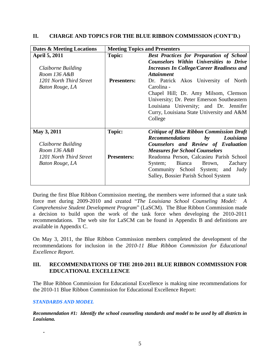| Dates & Meeting Locations                                                    | <b>Meeting Topics and Presenters</b> |                                                                                                                                                                                                                                            |  |
|------------------------------------------------------------------------------|--------------------------------------|--------------------------------------------------------------------------------------------------------------------------------------------------------------------------------------------------------------------------------------------|--|
| <b>April 5, 2011</b>                                                         | <b>Topic:</b>                        | <b>Best Practices for Preparation of School</b><br><b>Counselors Within Universities to Drive</b>                                                                                                                                          |  |
| Claiborne Building<br>Room $136A\&B$                                         |                                      | <b>Increases In College/Career Readiness and</b><br><i><b>Attainment</b></i>                                                                                                                                                               |  |
| 1201 North Third Street<br>Baton Rouge, LA                                   | <b>Presenters:</b>                   | Dr. Patrick Akos University of North<br>Carolina -<br>Chapel Hill; Dr. Amy Milsom, Clemson<br>University; Dr. Peter Emerson Southeastern<br>Louisiana University; and Dr. Jennifer<br>Curry, Louisiana State University and A&M<br>College |  |
| May 3, 2011<br>Claiborne Building<br>Room 136 A&B<br>1201 North Third Street | <b>Topic:</b><br><b>Presenters:</b>  | <b>Critique of Blue Ribbon Commission Draft</b><br><b>Recommendations</b> by<br>Louisiana<br>Counselors and Review of Evaluation<br><b>Measures for School Counselors</b><br>Readonna Person, Calcasieu Parish School                      |  |
| <b>Baton Rouge, LA</b>                                                       |                                      | Bianca Brown,<br>System;<br>Zachary<br>Community School System; and Judy<br>Salley, Bossier Parish School System                                                                                                                           |  |

### **II. CHARGE AND TOPICS FOR THE BLUE RIBBON COMMISSION (CONT'D.)**

During the first Blue Ribbon Commission meeting, the members were informed that a state task force met during 2009-2010 and created "*The Louisiana School Counseling Model: A Comprehensive Student Development Program*" (LaSCM). The Blue Ribbon Commission made a decision to build upon the work of the task force when developing the 2010-2011 recommendations. The web site for LaSCM can be found in Appendix B and definitions are available in Appendix C.

On May 3, 2011, the Blue Ribbon Commission members completed the development of the recommendations for inclusion in the *2010-11 Blue Ribbon Commission for Educational Excellence Report*.

## **III. RECOMMENDATIONS OF THE 2010-2011 BLUE RIBBON COMMISSION FOR EDUCATIONAL EXCELLENCE**

The Blue Ribbon Commission for Educational Excellence is making nine recommendations for the 2010-11 Blue Ribbon Commission for Educational Excellence Report:

### *STANDARDS AND MODEL*

**.**

*Recommendation #1: Identify the school counseling standards and model to be used by all districts in Louisiana.*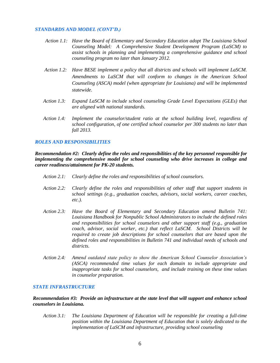#### *STANDARDS AND MODEL (CONT'D.)*

- *Action 1.1: Have the Board of Elementary and Secondary Education adopt The Louisiana School Counseling Model: A Comprehensive Student Development Program (LaSCM) to assist schools in planning and implementing a comprehensive guidance and school counseling program no later than January 2012.*
- *Action 1.2: Have BESE implement a policy that all districts and schools will implement LaSCM. Amendments to LaSCM that will conform to changes in the American School Counseling (ASCA) model (when appropriate for Louisiana) and will be implemented statewide.*
- *Action 1.3: Expand LaSCM to include school counseling Grade Level Expectations (GLEs) that are aligned with national standards.*
- *Action 1.4: Implement the counselor/student ratio at the school building level, regardless of school configuration, of one certified school counselor per 300 students no later than fall 2013.*

#### *ROLES AND RESPONSIBILITIES*

*Recommendation #2: Clearly define the roles and responsibilities of the key personnel responsible for implementing the comprehensive model for school counseling who drive increases in college and career readiness/attainment for PK-20 students.*

- *Action 2.1: Clearly define the roles and responsibilities of school counselors.*
- *Action 2.2: Clearly define the roles and responsibilities of other staff that support students in school settings (e.g., graduation coaches, advisors, social workers, career coaches, etc.).*
- *Action 2.3: Have the Board of Elementary and Secondary Education amend Bulletin 741: Louisiana Handbook for Nonpublic School Administrators to include the defined roles and responsibilities for school counselors and other support staff (e.g., graduation coach, advisor, social worker, etc.) that reflect LaSCM. School Districts will be required to create job descriptions for school counselors that are based upon the defined roles and responsibilities in Bulletin 741 and individual needs of schools and districts.*
- *Action 2.4: Amend outdated state policy to show the American School Counselor Association's (ASCA) recommended time values for each domain to include appropriate and inappropriate tasks for school counselors, and include training on these time values in counselor preparation.*

#### *STATE INFRASTRUCTURE*

*Recommendation #3: Provide an infrastructure at the state level that will support and enhance school counselors in Louisiana.*

*Action 3.1: The Louisiana Department of Education will be responsible for creating a full-time position within the Louisiana Department of Education that is solely dedicated to the implementation of LaSCM and infrastructure, providing school counseling*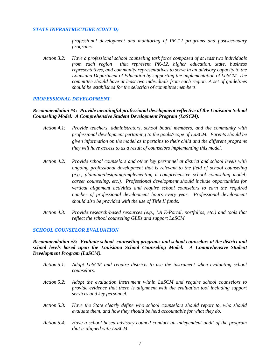#### *STATE INFRASTRUCTURE (CONT'D)*

*professional development and monitoring of PK-12 programs and postsecondary programs.*

*Action 3.2: Have a professional school counseling task force composed of at least two individuals from each region that represent PK-12, higher education, state, business representatives, and community representatives to serve in an advisory capacity to the Louisiana Department of Education by supporting the implementation of LaSCM. The committee should have at least two individuals from each region. A set of guidelines should be established for the selection of committee members.*

#### *PROFESSIONAL DEVELOPMENT*

*Recommendation #4: Provide meaningful professional development reflective of the Louisiana School Counseling Model: A Comprehensive Student Development Program (LaSCM).* 

- *Action 4.1: Provide teachers, administrators, school board members, and the community with professional development pertaining to the goals/scope of LaSCM. Parents should be given information on the model as it pertains to their child and the different programs they will have access to as a result of counselors implementing this model.*
- *Action 4.2: Provide school counselors and other key personnel at district and school levels with ongoing professional development that is relevant to the field of school counseling (e.g., planning/designing/implementing a comprehensive school counseling model; career counseling, etc.). Professional development should include opportunities for vertical alignment activities and require school counselors to earn the required number of professional development hours every year. Professional development should also be provided with the use of Title II funds.*
- *Action 4.3: Provide research-based resources (e.g., LA E-Portal, portfolios, etc.) and tools that reflect the school counseling GLEs and support LaSCM.*

#### *SCHOOL COUNSELOR EVALUATION*

*Recommendation #5: Evaluate school counseling programs and school counselors at the district and school levels based upon the Louisiana School Counseling Model: A Comprehensive Student Development Program (LaSCM).* 

- *Action 5.1: Adopt LaSCM and require districts to use the instrument when evaluating school counselors.*
- *Action 5.2: Adopt the evaluation instrument within LaSCM and require school counselors to provide evidence that there is alignment with the evaluation tool including support services and key personnel.*
- *Action 5.3: Have the State clearly define who school counselors should report to, who should evaluate them, and how they should be held accountable for what they do.*
- *Action 5.4: Have a school based advisory council conduct an independent audit of the program that is aligned with LaSCM.*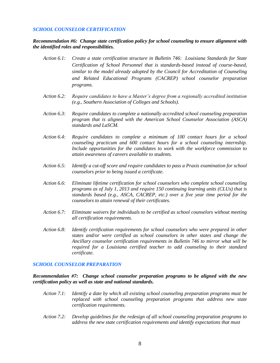#### *SCHOOL COUNSELOR CERTIFICATION*

*Recommendation #6: Change state certification policy for school counseling to ensure alignment with the identified roles and responsibilities.*

- *Action 6.1: Create a state certification structure in Bulletin 746: Louisiana Standards for State Certification of School Personnel that is standards-based instead of course-based, similar to the model already adopted by the Council for Accreditation of Counseling and Related Educational Programs (CACREP) school counselor preparation programs.*
- *Action 6.2: Require candidates to have a Master's degree from a regionally accredited institution (e.g., Southern Association of Colleges and Schools).*
- *Action 6.3: Require candidates to complete a nationally accredited school counseling preparation program that is aligned with the American School Counselor Association (ASCA) standards and LaSCM.*
- *Action 6.4: Require candidates to complete a minimum of 100 contact hours for a school counseling practicum and 600 contact hours for a school counseling internship. Include opportunities for the candidates to work with the workforce commission to attain awareness of careers available to students.*
- *Action 6.5: Identify a cut-off score and require candidates to pass a Praxis examination for school counselors prior to being issued a certificate.*
- *Action 6.6: Eliminate lifetime certification for school counselors who complete school counseling programs as of July 1, 2013 and require 150 continuing learning units (CLUs) that is standards based (e.g., ASCA, CACREP, etc.) over a five year time period for the counselors to attain renewal of their certificates.*
- *Action 6.7: Eliminate waivers for individuals to be certified as school counselors without meeting all certification requirements.*
- *Action 6.8: Identify certification requirements for school counselors who were prepared in other states and/or were certified as school counselors in other states and change the Ancillary counselor certification requirements in Bulletin 746 to mirror what will be required for a Louisiana certified teacher to add counseling to their standard certificate.*

#### *SCHOOL COUNSELOR PREPARATION*

*Recommendation #7: Change school counselor preparation programs to be aligned with the new certification policy as well as state and national standards.*

- *Action 7.1: Identify a date by which all existing school counseling preparation programs must be replaced with school counseling preparation programs that address new state certification requirements.*
- *Action 7.2: Develop guidelines for the redesign of all school counseling preparation programs to address the new state certification requirements and identify expectations that must*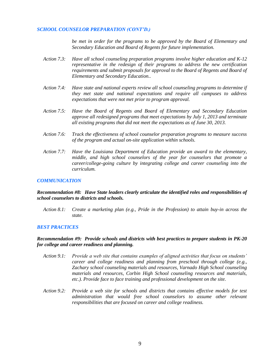#### *SCHOOL COUNSELOR PREPARATION (CONT'D.)*

*be met in order for the programs to be approved by the Board of Elementary and Secondary Education and Board of Regents for future implementation.* 

- *Action 7.3: Have all school counseling preparation programs involve higher education and K-12 representative in the redesign of their programs to address the new certification requirements and submit proposals for approval to the Board of Regents and Board of Elementary and Secondary Education..*
- *Action 7.4: Have state and national experts review all school counseling programs to determine if they met state and national expectations and require all campuses to address expectations that were not met prior to program approval.*
- *Action 7.5: Have the Board of Regents and Board of Elementary and Secondary Education approve all redesigned programs that meet expectations by July 1, 2013 and terminate all existing programs that did not meet the expectations as of June 30, 2013.*
- *Action 7.6: Track the effectiveness of school counselor preparation programs to measure success of the program and actual on-site application within schools.*
- *Action 7.7: Have the Louisiana Department of Education provide an award to the elementary, middle, and high school counselors of the year for counselors that promote a career/college-going culture by integrating college and career counseling into the curriculum.*

#### *COMMUNICATION*

*Recommendation #8: Have State leaders clearly articulate the identified roles and responsibilities of school counselors to districts and schools.*

*Action 8.1: Create a marketing plan (e.g., Pride in the Profession) to attain buy-in across the state.*

#### *BEST PRACTICES*

#### *Recommendation #9: Provide schools and districts with best practices to prepare students in PK-20 for college and career readiness and planning.*

- *Action 9.1: Provide a web site that contains examples of aligned activities that focus on students' career and college readiness and planning from preschool through college (e.g., Zachary school counseling materials and resources, Varnado High School counseling materials and resources, Corbin High School counseling resources and materials, etc.). Provide face to face training and professional development on the site.*
- *Action 9.2: Provide a web site for schools and districts that contains effective models for test administration that would free school counselors to assume other relevant responsibilities that are focused on career and college readiness.*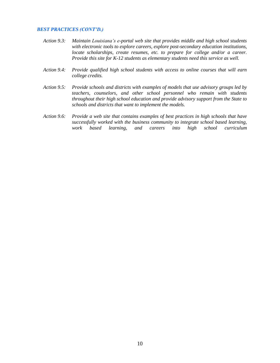#### *BEST PRACTICES (CONT'D.)*

- *Action 9.3: Maintain Louisiana's e-portal web site that provides middle and high school students with electronic tools to explore careers, explore post-secondary education institutions, locate scholarships, create resumes, etc. to prepare for college and/or a career. Provide this site for K-12 students as elementary students need this service as well.*
- *Action 9.4: Provide qualified high school students with access to online courses that will earn college credits.*
- *Action 9.5: Provide schools and districts with examples of models that use advisory groups led by teachers, counselors, and other school personnel who remain with students throughout their high school education and provide advisory support from the State to schools and districts that want to implement the models.*
- *Action 9.6: Provide a web site that contains examples of best practices in high schools that have successfully worked with the business community to integrate school based learning, work based learning, and careers into high school curriculum*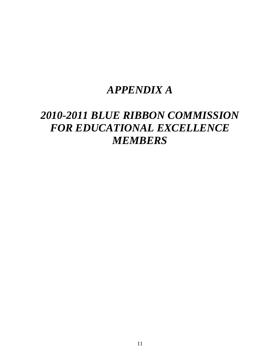## *APPENDIX A*

## *2010-2011 BLUE RIBBON COMMISSION FOR EDUCATIONAL EXCELLENCE MEMBERS*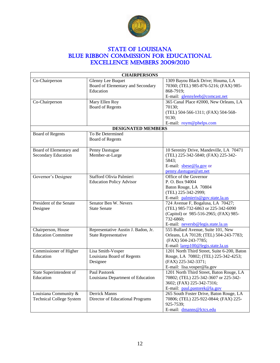

## STATE OF LOUISIANA BLUE RIBBON COMMISSION FOR EDUCATIONAL Excellence Members 2009/2010

| <b>CHAIRPERSONS</b>             |                                                               |                                                                            |  |
|---------------------------------|---------------------------------------------------------------|----------------------------------------------------------------------------|--|
| Co-Chairperson                  | <b>Glenny Lee Buquet</b><br>Board of Elementary and Secondary | 1309 Bayou Black Drive; Houma, LA<br>70360; (TEL) 985-876-5216; (FAX) 985- |  |
|                                 | Education                                                     | 868-7919;                                                                  |  |
|                                 |                                                               | E-mail: glennyleeb@comcast.net                                             |  |
| Co-Chairperson                  | Mary Ellen Roy                                                | 365 Canal Place #2000, New Orleans, LA                                     |  |
|                                 | <b>Board of Regents</b>                                       | 70130;                                                                     |  |
|                                 |                                                               | (TEL) 504-566-1311; (FAX) 504-568-<br>9130;                                |  |
|                                 |                                                               | E-mail: roym@phelps.com                                                    |  |
|                                 | <b>DESIGNATED MEMBERS</b>                                     |                                                                            |  |
| <b>Board of Regents</b>         | To Be Determined                                              |                                                                            |  |
|                                 | <b>Board of Regents</b>                                       |                                                                            |  |
| Board of Elementary and         | Penny Dastugue                                                | 10 Serenity Drive, Mandeville, LA 70471                                    |  |
| Secondary Education             | Member-at-Large                                               | (TEL) 225-342-5840; (FAX) 225-342-                                         |  |
|                                 |                                                               | 5843;                                                                      |  |
|                                 |                                                               | E-mail: sbese@la.gov or                                                    |  |
|                                 |                                                               | penny.dastugue@att.net                                                     |  |
| Governor's Designee             | Stafford Olivia Palmieri                                      | Office of the Governor                                                     |  |
|                                 | <b>Education Policy Advisor</b>                               | P. O. Box 94004                                                            |  |
|                                 |                                                               | Baton Rouge, LA 70804                                                      |  |
|                                 |                                                               | (TEL) 225-342-2999;                                                        |  |
| President of the Senate         | Senator Ben W. Nevers                                         | E-mail: palmieris@gov.state.la.us<br>724 Avenue F, Bogalusa, LA 70427;     |  |
| Designee                        | <b>State Senate</b>                                           | (TEL) 985-732-6863 or 225-342-6090                                         |  |
|                                 |                                                               | (Capitol) or 985-516-2965; (FAX) 985-                                      |  |
|                                 |                                                               | 732-6860;                                                                  |  |
|                                 |                                                               | E-mail: neversb@legis.state.la.us                                          |  |
| Chairperson, House              | Representative Austin J. Badon, Jr.                           | 555 Bullard Avenue, Suite 101, New                                         |  |
| <b>Education Committee</b>      | <b>State Representative</b>                                   | Orleans, LA 70128; (TEL) 504-243-7783;                                     |  |
|                                 |                                                               | (FAX) 504-243-7785;                                                        |  |
|                                 |                                                               | E-mail: larep100@legis.state.la.us                                         |  |
| Commissioner of Higher          | Lisa Smith-Vosper                                             | 1201 North Third Street, Suite 6-200, Baton                                |  |
| Education                       | Louisiana Board of Regents                                    | Rouge, LA 70802; (TEL) 225-342-4253;                                       |  |
|                                 | Designee                                                      | (FAX) 225-342-3371;                                                        |  |
|                                 |                                                               | E-mail: lisa.vosper@la.gov                                                 |  |
| State Superintendent of         | <b>Paul Pastorek</b>                                          | 1201 North Third Street, Baton Rouge, LA                                   |  |
| Education                       | Louisiana Department of Education                             | 70802; (TEL) 225-342-3607 or 225-342-                                      |  |
|                                 |                                                               | 3602; (FAX) 225-342-7316;                                                  |  |
|                                 |                                                               | E-mail: paul.pastorek@la.gov                                               |  |
| Louisiana Community &           | Derrick Manns                                                 | 265 South Foster Drive, Baton Rouge, LA                                    |  |
| <b>Technical College System</b> | Director of Educational Programs                              | 70806; (TEL) 225-922-0844; (FAX) 225-                                      |  |
|                                 |                                                               | 925-7539;                                                                  |  |
|                                 |                                                               | E-mail: dmanns@lctcs.edu                                                   |  |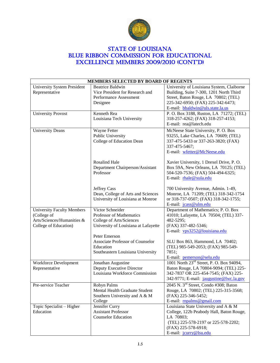

## **STATE OF LOUISIANA** BLUE RIBBON COMMISSION FOR EDUCATIONAL Excellence Members 2009/2010 (CONT'D)

| MEMBERS SELECTED BY BOARD OF REGENTS |                                         |                                                      |  |
|--------------------------------------|-----------------------------------------|------------------------------------------------------|--|
| <b>University System President</b>   | <b>Beatrice Baldwin</b>                 | University of Louisiana System, Claiborne            |  |
| Representative                       | Vice President for Research and         | Building, Suite 7-300, 1201 North Third              |  |
|                                      | Performance Assessment                  | Street, Baton Rouge, LA 70802; (TEL)                 |  |
|                                      | Designee                                | 225-342-6950; (FAX) 225-342-6473;                    |  |
|                                      |                                         | E-mail: bbaldwin@uls.state.la.us                     |  |
| <b>University Provost</b>            | Kenneth Rea                             | P. O. Box 3188, Ruston, LA 71272; (TEL)              |  |
|                                      | Louisiana Tech University               | 318-257-4262; (FAX) 318-257-4153;                    |  |
|                                      |                                         | E-mail: rea@latech.edu                               |  |
| <b>University Deans</b>              | Wayne Fetter                            | McNeese State University, P. O. Box                  |  |
|                                      | Public University                       | 93255, Lake Charles, LA 70609; (TEL)                 |  |
|                                      | College of Education Dean               | 337-475-5433 or 337-263-3820; (FAX)                  |  |
|                                      |                                         | 337-475-5467;                                        |  |
|                                      |                                         | E-mail: wfetter@McNeese.edu                          |  |
|                                      |                                         |                                                      |  |
|                                      | Rosalind Hale                           | Xavier University, 1 Drexel Drive, P. O.             |  |
|                                      | Department Chairperson/Assistant        | Box 59A, New Orleans, LA 70125; (TEL)                |  |
|                                      | Professor                               | 504-520-7536; (FAX) 504-494-6325;                    |  |
|                                      |                                         | E-mail: rhale@xula.edu                               |  |
|                                      |                                         |                                                      |  |
|                                      | <b>Jeffrey Cass</b>                     | 700 University Avenue, Admin. 1-49,                  |  |
|                                      | Dean, College of Arts and Sciences      | Monroe, LA 71209; (TEL) 318-342-1754                 |  |
|                                      | University of Louisiana at Monroe       | or 318-737-0507; (FAX) 318-342-1755;                 |  |
|                                      |                                         | E-mail: jcass@ulm.edu                                |  |
|                                      | Victor Schneider                        |                                                      |  |
| <b>University Faculty Members</b>    |                                         | Department of Mathematics; P. O. Box                 |  |
| (College of                          | Professor of Mathematics                | 41010; Lafayette, LA 70504; (TEL) 337-               |  |
| Arts/Sciences/Humanities &           | College of Arts/Sciences                | 482-5295;                                            |  |
| College of Education)                | University of Louisiana at Lafayette    | (FAX) 337-482-5346;                                  |  |
|                                      |                                         | E-mail: vps3252@louisiana.edu                        |  |
|                                      | Peter Emerson                           |                                                      |  |
|                                      | <b>Associate Professor of Counselor</b> | SLU Box 863, Hammond, LA 70402;                      |  |
|                                      | Education                               | (TEL) 985-549-2053; (FAX) 985-549-                   |  |
|                                      | Southeastern Louisiana University       | 7851;                                                |  |
|                                      |                                         | E-mail: pemerson@selu.edu                            |  |
| Workforce Development                | Jonathan Augustine                      | 1001 North 23 <sup>rd</sup> Street, P. O. Box 94094, |  |
| Representative                       | Deputy Executive Director               | Baton Rouge, LA 70804-9094; (TEL) 225-               |  |
|                                      | Louisiana Workforce Commission          | 342-7837 OR 225-454-7545; (FAX) 225-                 |  |
|                                      |                                         | 342-9771; E-mail: jaugustine@lwc.la.gov              |  |
| Pre-service Teacher                  | Robyn Palms                             | 2045 N. 3 <sup>rd</sup> Street, Condo #308; Baton    |  |
|                                      | Mental Health Graduate Student          | Rouge, LA 70802; (TEL) 225-315-3568;                 |  |
|                                      | Southern University and A & M           | (FAX) 225-346-5452;                                  |  |
|                                      | College                                 | E-mail: mpalms@gmail.com                             |  |
| Topic Specialist - Higher            | Jennifer Curry                          | Louisiana State University and A & M                 |  |
| Education                            | <b>Assistant Professor</b>              | College, 122b Peabody Hall, Baton Rouge,             |  |
|                                      | <b>Counselor Education</b>              | LA 70803;                                            |  |
|                                      |                                         | (TEL) 225-578-2197 or 225-578-2202;                  |  |
|                                      |                                         | (FAX) 225-578-6918;<br>E-mail: jcurry@lsu.edu        |  |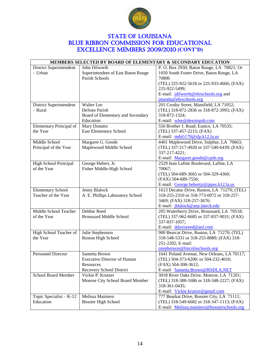

## **STATE OF LOUISIANA** BLUE RIBBON COMMISSION FOR EDUCATIONAL Excellence Members 2009/2010 **(CONT'D)**

| MEMBERS SELECTED BY BOARD OF ELEMENTARY & SECONDARY EDUCATION |                                    |                                             |  |
|---------------------------------------------------------------|------------------------------------|---------------------------------------------|--|
| District Superintendent                                       | John Dilworth                      | P. O. Box 2950; Baton Rouge, LA 70821; Or   |  |
| - Urban                                                       | Superintendent of East Baton Rouge | 1050 South Foster Drive, Baton Rouge, LA    |  |
|                                                               | Parish Schools                     | 70806                                       |  |
|                                                               |                                    | (TEL) 225-922-5618 or 225-933-4666; (FAX)   |  |
|                                                               |                                    | 225-922-5499;                               |  |
|                                                               |                                    | E-mail: jdilworth@ebrschools.org and        |  |
|                                                               |                                    | jmanda@ebrschools.org                       |  |
| District Superintendent                                       | Walter Lee                         | 201 Crosby Street, Mansfield, LA 71052;     |  |
| - Rural                                                       | DeSoto Parish                      | (TEL) 318-872-2836 or 318-872-3993; (FAX)   |  |
|                                                               | Board of Elementary and Secondary  | 318-872-1324;                               |  |
|                                                               | Education                          | E-mail: wlee@desotopsb.com                  |  |
| Elementary Principal of                                       | Mary Donatto                       | 550 Brother J. Road; Eunice, LA 70535;      |  |
| the Year                                                      | East Elementary School             | (TEL) 337-457-2215; (FAX)                   |  |
|                                                               |                                    | E-mail: mdn5170@slp.k12.la.us               |  |
| Middle School                                                 | Margaret G. Goode                  | 4401 Maplewood Drive, Sulphur, LA 70663;    |  |
| Principal of the Year                                         | Maplewood Middle School            | (TEL) 337-217-4920 or 337-540-6439; (FAX)   |  |
|                                                               |                                    | 337-217-4221;                               |  |
|                                                               |                                    | E-mail: Margaret.goode@cpsb.org             |  |
| High School Principal                                         | George Hebert, Jr.                 | 2529 Jean Lafitte Boulevard, Lafitte, LA    |  |
| of the Year                                                   | Fisher Middle-High School          | 70067;                                      |  |
|                                                               |                                    | (TEL) 504-689-3665 or 504-329-4360;         |  |
|                                                               |                                    | (FAX) 504-689-7556;                         |  |
|                                                               |                                    | E-mail: George.hebertjr@jppss.k12.la.us     |  |
| <b>Elementary School</b>                                      | Jenny Blalock                      | 1613 Decatur Drive, Ruston, LA 71270; (TEL) |  |
| Teacher of the Year                                           | A. E. Phillips Laboratory School   | 318-255-2310 or 318-773-0072 or 318-257-    |  |
|                                                               |                                    | 3469; (FAX) 318-257-3676;                   |  |
|                                                               |                                    | E-mail: jblalock@aep.latech.edu             |  |
| Middle School Teacher                                         | Debbie Reed                        | 205 Waterberry Drive, Broussard, LA 70518;  |  |
| of the Year                                                   | <b>Broussard Middle School</b>     | (TEL) 337-962-6685 or 337-837-9031; (FAX)   |  |
|                                                               |                                    | 337-837-1057;                               |  |
|                                                               |                                    | E-mail: ddavisreed@aol.com                  |  |
| High School Teacher of                                        | Julie Stephenson                   | 900 Bearcat Drive, Ruston, LA 71270; (TEL)  |  |
| the Year                                                      | Ruston High School                 | 318-548-5331 or 318-255-8889; (FAX) 318-    |  |
|                                                               |                                    | 251-2202; E-mail:                           |  |
|                                                               |                                    | jstephenson@lincolnschools.org              |  |
| <b>Personnel Director</b>                                     | Sametta Brown                      | 1641 Poland Avenue, New Orleans, LA 70117;  |  |
|                                                               | <b>Executive Director of Human</b> | (TEL) 504-373-6200; or 504-232-4016;        |  |
|                                                               | Resources                          | (FAX) 504-308-3612;                         |  |
|                                                               | Recovery School District           | E-mail: Sametta.Brown@RSDLA.NET             |  |
| <b>School Board Member</b>                                    | Vickie P. Krutzer                  | 3018 River Oaks Drive, Monroe, LA 71201;    |  |
|                                                               | Monroe City School Board Member    | (TEL) 318-388-1686 or 318-348-2227; (FAX)   |  |
|                                                               |                                    | 318-361-0435;                               |  |
|                                                               |                                    | E-mail: Vickie.krutzer@gmail.com            |  |
| Topic Specialist $-K-12$                                      | Melissa Mainiero                   | 777 Bearkat Drive, Bossier City, LA 71111;  |  |
| Education                                                     | <b>Bossier High School</b>         | (TEL) 318-549-6682 or 318-347-1113; (FAX)   |  |
|                                                               |                                    | E-mail: Melissa.mainiero@bossierschools.org |  |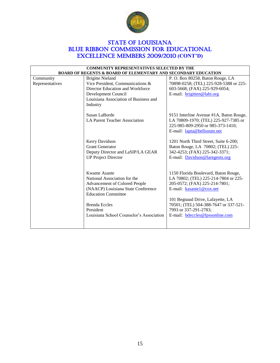

## **STATE OF LOUISIANA** BLUE RIBBON COMMISSION FOR EDUCATIONAL Excellence Members 2009/2010 **(CONT'D)**

| <b>COMMUNITY REPRESENTATIVES SELECTED BY THE</b>                          |                                          |                                         |  |
|---------------------------------------------------------------------------|------------------------------------------|-----------------------------------------|--|
| <b>BOARD OF REGENTS &amp; BOARD OF ELEMENTARY AND SECONDARY EDUCATION</b> |                                          |                                         |  |
| Community                                                                 | <b>Brigitte Nieland</b>                  | P.O. Box 80258, Baton Rouge, LA         |  |
| Representatives                                                           | Vice President, Communications &         | 70898-0258; (TEL) 225-928-5388 or 225-  |  |
|                                                                           | Director Education and Workforce         | 603-5668; (FAX) 225-929-6054;           |  |
|                                                                           | Development Council                      | E-mail: brigitten@labi.org              |  |
|                                                                           | Louisiana Association of Business and    |                                         |  |
|                                                                           | Industry                                 |                                         |  |
|                                                                           |                                          |                                         |  |
|                                                                           | Susan LaBorde                            | 9151 Interline Avenue #1A, Baton Rouge, |  |
|                                                                           | <b>LA Parent Teacher Association</b>     | LA 70809-1970; (TEL) 225-927-7385 or    |  |
|                                                                           |                                          | 225-985-809-2950 or 985-373-1410;       |  |
|                                                                           |                                          | E-mail: lapta@bellsoutn.net             |  |
|                                                                           |                                          |                                         |  |
|                                                                           | Kerry Davidson                           | 1201 North Third Street, Suite 6-200;   |  |
|                                                                           | <b>Grant Generator</b>                   | Baton Rouge, LA 70802; (TEL) 225-       |  |
|                                                                           | Deputy Director and LaSIP/LA GEAR        | 342-4253; (FAX) 225-342-3371;           |  |
|                                                                           | <b>UP Project Director</b>               | E-mail: Davidson@laregents.org          |  |
|                                                                           |                                          |                                         |  |
|                                                                           |                                          |                                         |  |
|                                                                           | Kwame Asante                             | 1150 Florida Boulevard, Baton Rouge,    |  |
|                                                                           | National Association for the             | LA 70802; (TEL) 225-214-7804 or 225-    |  |
|                                                                           | Advancement of Colored People            | 205-0572; (FAX) 225-214-7801;           |  |
|                                                                           | (NAACP) Louisiana State Conference       | E-mail: kasante1@cox.net                |  |
|                                                                           | <b>Education Committee</b>               |                                         |  |
|                                                                           |                                          | 101 Begnaud Drive, Lafayette, LA        |  |
|                                                                           | <b>Brenda Eccles</b>                     | 70501; (TEL) 504-388-7647 or 337-521-   |  |
|                                                                           | President                                | 7993 or 337-291-2783;                   |  |
|                                                                           | Louisiana School Counselor's Association | E-mail: bdeccles@lpssonline.com         |  |
|                                                                           |                                          |                                         |  |
|                                                                           |                                          |                                         |  |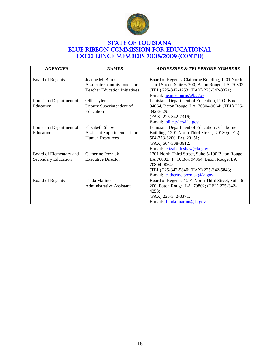

## **STATE OF LOUISIANA** BLUE RIBBON COMMISSION FOR EDUCATIONAL Excellence Members 2008/2009 **(CONT'D)**

| <b>AGENCIES</b>            | <b>NAMES</b>                         | <b>ADDRESSES &amp; TELEPHONE NUMBERS</b>            |
|----------------------------|--------------------------------------|-----------------------------------------------------|
| Board of Regents           | Jeanne M. Burns                      | Board of Regents, Claiborne Building, 1201 North    |
|                            | Associate Commissioner for           | Third Street, Suite 6-200, Baton Rouge, LA 70802;   |
|                            | <b>Teacher Education Initiatives</b> | (TEL) 225-342-4253; (FAX) 225-342-3371;             |
|                            |                                      | E-mail: jeanne.burns@la.gov                         |
| Louisiana Department of    | Ollie Tyler                          | Louisiana Department of Education, P. O. Box        |
| Education                  | Deputy Superintendent of             | 94064, Baton Rouge, LA 70804-9064; (TEL) 225-       |
|                            | Education                            | 342-3629;                                           |
|                            |                                      | (FAX) 225-342-7316;                                 |
|                            |                                      | E-mail: ollie.tyler@la.gov                          |
| Louisiana Department of    | Elizabeth Shaw                       | Louisiana Department of Education, Claiborne        |
| Education                  | Assistant Superintendent for         | Building, 1201 North Third Street, 70130;(TEL)      |
|                            | <b>Human Resources</b>               | 504-373-6200, Ext. 20151;                           |
|                            |                                      | (FAX) 504-308-3612;                                 |
|                            |                                      | E-mail: elizabeth.shaw@la.gov                       |
| Board of Elementary and    | Catherine Pozniak                    | 1201 North Third Street, Suite 5-190 Baton Rouge,   |
| <b>Secondary Education</b> | <b>Executive Director</b>            | LA 70802; P. O. Box 94064, Baton Rouge, LA          |
|                            |                                      | 70804-9064;                                         |
|                            |                                      | (TEL) 225-342-5840; (FAX) 225-342-5843;             |
|                            |                                      | E-mail: catherine.pozniak@la.gov                    |
| Board of Regents           | Linda Marino                         | Board of Regents; 1201 North Third Street, Suite 6- |
|                            | <b>Administrative Assistant</b>      | 200, Baton Rouge, LA 70802; (TEL) 225-342-          |
|                            |                                      | 4253;                                               |
|                            |                                      | (FAX) 225-342-3371;                                 |
|                            |                                      | E-mail: Linda.marino@la.gov                         |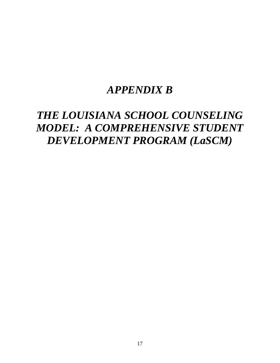## *APPENDIX B*

## *THE LOUISIANA SCHOOL COUNSELING MODEL: A COMPREHENSIVE STUDENT DEVELOPMENT PROGRAM (LaSCM)*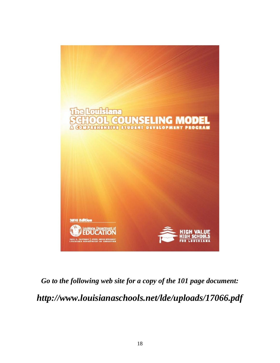

# *Go to the following web site for a copy of the 101 page document: http://www.louisianaschools.net/lde/uploads/17066.pdf*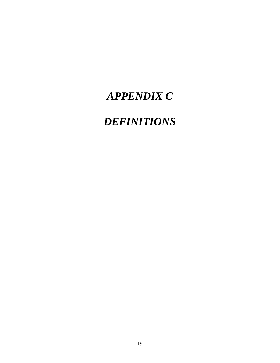## *APPENDIX C*

## *DEFINITIONS*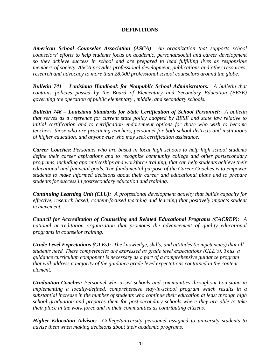### **DEFINITIONS**

*American School Counselor Association (ASCA) An organization that supports school counselors' efforts to help students focus on academic, personal/social and career development so they achieve success in school and are prepared to lead fulfilling lives as responsible members of society. ASCA provides professional development, publications and other resources, research and advocacy to more than 28,000 professional school counselors around the globe.*

*Bulletin 741 – Louisiana Handbook for Nonpublic School Administrators: A bulletin that contains policies passed by the Board of Elementary and Secondary Education (BESE) governing the operation of public elementary , middle, and secondary schools.*

*Bulletin 746 – Louisiana Standards for State Certification of School Personnel: A bulletin that serves as a reference for current state policy adopted by BESE and state law relative to initial certification and to certification endorsement options for those who wish to become teachers, those who are practicing teachers, personnel for both school districts and institutions of higher education, and anyone else who may seek certification assistance.* 

*Career Coaches: Personnel who are based in local high schools to help high school students define their career aspirations and to recognize community college and other postsecondary programs, including apprenticeships and workforce training, that can help students achieve their educational and financial goals. The fundamental purpose of the Career Coaches is to empower students to make informed decisions about their career and educational plans and to prepare students for success in postsecondary education and training.*

*Continuing Learning Unit (CLU): A professional development activity that builds capacity for effective, research based, content-focused teaching and learning that positively impacts student achievement.*

*Council for Accreditation of Counseling and Related Educational Programs (CACREP): A national accreditation organization that promotes the advancement of quality educational programs in counselor training.*

*Grade Level Expectations (GLEs): The knowledge, skills, and attitudes (competencies) that all students need. These competencies are expressed as grade level expectations (GLE's). Thus, a guidance curriculum component is necessary as a part of a comprehensive guidance program that will address a majority of the guidance grade level expectations contained in the content element.*

*Graduation Coaches: Personnel who assist schools and communities throughout Louisiana in implementing a locally-defined, comprehensive stay-in-school program which results in a substantial increase in the number of students who continue their education at least through high school graduation and prepares them for post-secondary schools where they are able to take their place in the work force and in their communities as contributing citizens.*

*Higher Education Advisor: College/university personnel assigned to university students to advise them when making decisions about their academic programs.*